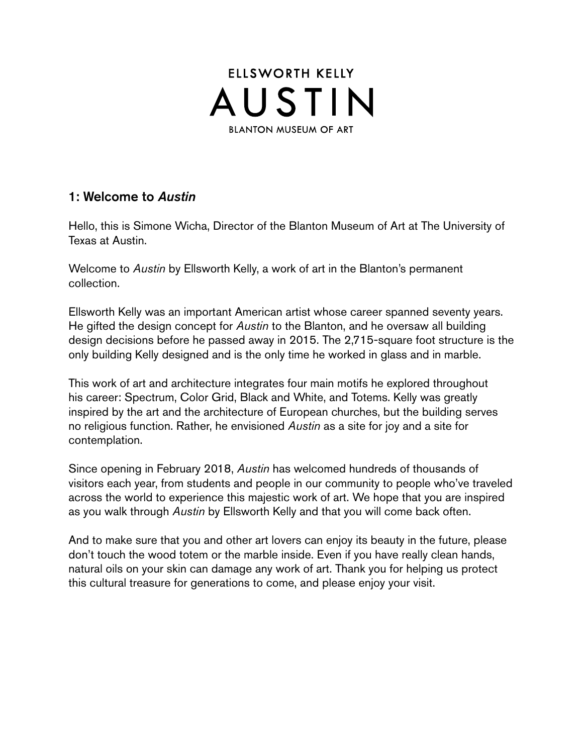

#### 1: Welcome to *Austin*

Hello, this is Simone Wicha, Director of the Blanton Museum of Art at The University of Texas at Austin.

Welcome to *Austin* by Ellsworth Kelly, a work of art in the Blanton's permanent collection.

Ellsworth Kelly was an important American artist whose career spanned seventy years. He gifted the design concept for *Austin* to the Blanton, and he oversaw all building design decisions before he passed away in 2015. The 2,715-square foot structure is the only building Kelly designed and is the only time he worked in glass and in marble.

This work of art and architecture integrates four main motifs he explored throughout his career: Spectrum, Color Grid, Black and White, and Totems. Kelly was greatly inspired by the art and the architecture of European churches, but the building serves no religious function. Rather, he envisioned *Austin* as a site for joy and a site for contemplation.

Since opening in February 2018, *Austin* has welcomed hundreds of thousands of visitors each year, from students and people in our community to people who've traveled across the world to experience this majestic work of art. We hope that you are inspired as you walk through *Austin* by Ellsworth Kelly and that you will come back often.

And to make sure that you and other art lovers can enjoy its beauty in the future, please don't touch the wood totem or the marble inside. Even if you have really clean hands, natural oils on your skin can damage any work of art. Thank you for helping us protect this cultural treasure for generations to come, and please enjoy your visit.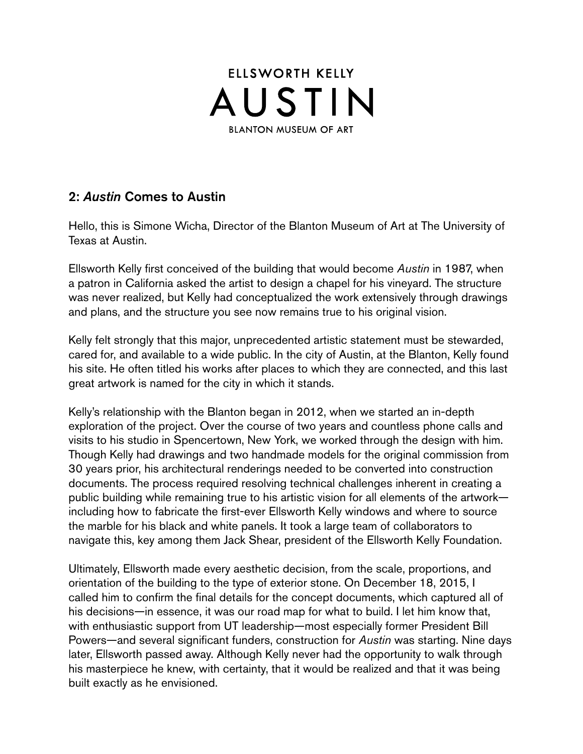

### 2: *Austin* Comes to Austin

Hello, this is Simone Wicha, Director of the Blanton Museum of Art at The University of Texas at Austin.

Ellsworth Kelly frst conceived of the building that would become *Austin* in 1987, when a patron in California asked the artist to design a chapel for his vineyard. The structure was never realized, but Kelly had conceptualized the work extensively through drawings and plans, and the structure you see now remains true to his original vision.

Kelly felt strongly that this major, unprecedented artistic statement must be stewarded, cared for, and available to a wide public. In the city of Austin, at the Blanton, Kelly found his site. He often titled his works after places to which they are connected, and this last great artwork is named for the city in which it stands.

Kelly's relationship with the Blanton began in 2012, when we started an in-depth exploration of the project. Over the course of two years and countless phone calls and visits to his studio in Spencertown, New York, we worked through the design with him. Though Kelly had drawings and two handmade models for the original commission from 30 years prior, his architectural renderings needed to be converted into construction documents. The process required resolving technical challenges inherent in creating a public building while remaining true to his artistic vision for all elements of the artwork including how to fabricate the first-ever Ellsworth Kelly windows and where to source the marble for his black and white panels. It took a large team of collaborators to navigate this, key among them Jack Shear, president of the Ellsworth Kelly Foundation.

Ultimately, Ellsworth made every aesthetic decision, from the scale, proportions, and orientation of the building to the type of exterior stone. On December 18, 2015, I called him to confirm the final details for the concept documents, which captured all of his decisions—in essence, it was our road map for what to build. I let him know that, with enthusiastic support from UT leadership—most especially former President Bill Powers—and several signifcant funders, construction for *Austin* was starting. Nine days later, Ellsworth passed away. Although Kelly never had the opportunity to walk through his masterpiece he knew, with certainty, that it would be realized and that it was being built exactly as he envisioned.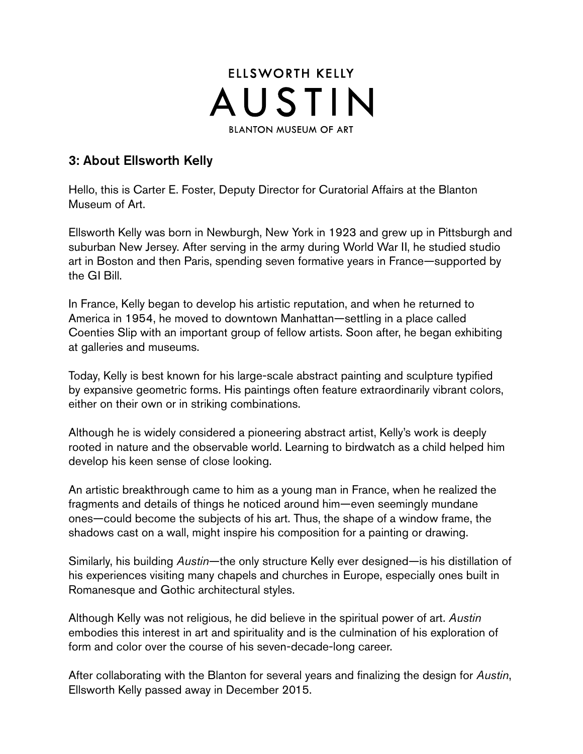

## 3: About Ellsworth Kelly

Hello, this is Carter E. Foster, Deputy Director for Curatorial Affairs at the Blanton Museum of Art.

Ellsworth Kelly was born in Newburgh, New York in 1923 and grew up in Pittsburgh and suburban New Jersey. After serving in the army during World War II, he studied studio art in Boston and then Paris, spending seven formative years in France—supported by the GI Bill.

In France, Kelly began to develop his artistic reputation, and when he returned to America in 1954, he moved to downtown Manhattan—settling in a place called Coenties Slip with an important group of fellow artists. Soon after, he began exhibiting at galleries and museums.

Today, Kelly is best known for his large-scale abstract painting and sculpture typifed by expansive geometric forms. His paintings often feature extraordinarily vibrant colors, either on their own or in striking combinations.

Although he is widely considered a pioneering abstract artist, Kelly's work is deeply rooted in nature and the observable world. Learning to birdwatch as a child helped him develop his keen sense of close looking.

An artistic breakthrough came to him as a young man in France, when he realized the fragments and details of things he noticed around him—even seemingly mundane ones—could become the subjects of his art. Thus, the shape of a window frame, the shadows cast on a wall, might inspire his composition for a painting or drawing.

Similarly, his building *Austin*—the only structure Kelly ever designed—is his distillation of his experiences visiting many chapels and churches in Europe, especially ones built in Romanesque and Gothic architectural styles.

Although Kelly was not religious, he did believe in the spiritual power of art. *Austin*  embodies this interest in art and spirituality and is the culmination of his exploration of form and color over the course of his seven-decade-long career.

After collaborating with the Blanton for several years and fnalizing the design for *Austin*, Ellsworth Kelly passed away in December 2015.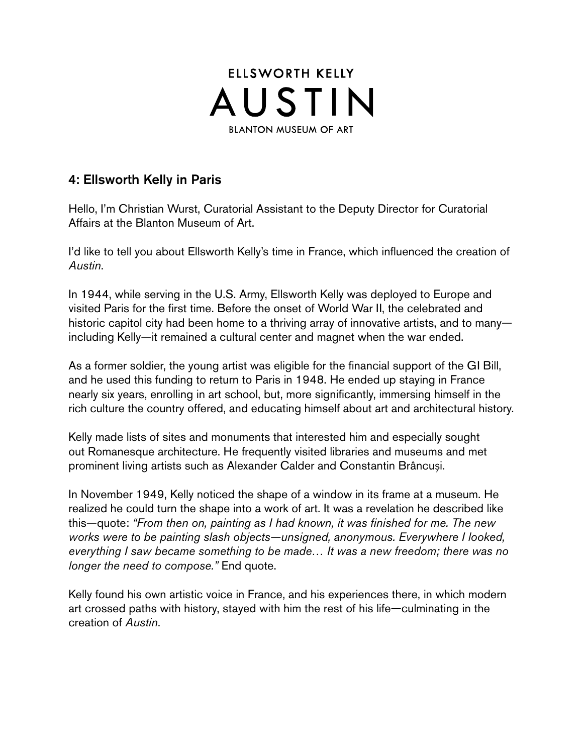

## 4: Ellsworth Kelly in Paris

Hello, I'm Christian Wurst, Curatorial Assistant to the Deputy Director for Curatorial Affairs at the Blanton Museum of Art.

I'd like to tell you about Ellsworth Kelly's time in France, which infuenced the creation of *Austin*.

In 1944, while serving in the U.S. Army, Ellsworth Kelly was deployed to Europe and visited Paris for the first time. Before the onset of World War II, the celebrated and historic capitol city had been home to a thriving array of innovative artists, and to manyincluding Kelly—it remained a cultural center and magnet when the war ended.

As a former soldier, the young artist was eligible for the financial support of the GI Bill, and he used this funding to return to Paris in 1948. He ended up staying in France nearly six years, enrolling in art school, but, more significantly, immersing himself in the rich culture the country offered, and educating himself about art and architectural history.

Kelly made lists of sites and monuments that interested him and especially sought out Romanesque architecture. He frequently visited libraries and museums and met prominent living artists such as Alexander Calder and Constantin Brâncuși.

In November 1949, Kelly noticed the shape of a window in its frame at a museum. He realized he could turn the shape into a work of art. It was a revelation he described like this—quote: *"From then on, painting as I had known, it was fnished for me. The new works were to be painting slash objects—unsigned, anonymous. Everywhere I looked, everything I saw became something to be made… It was a new freedom; there was no longer the need to compose."* End quote.

Kelly found his own artistic voice in France, and his experiences there, in which modern art crossed paths with history, stayed with him the rest of his life—culminating in the creation of *Austin*.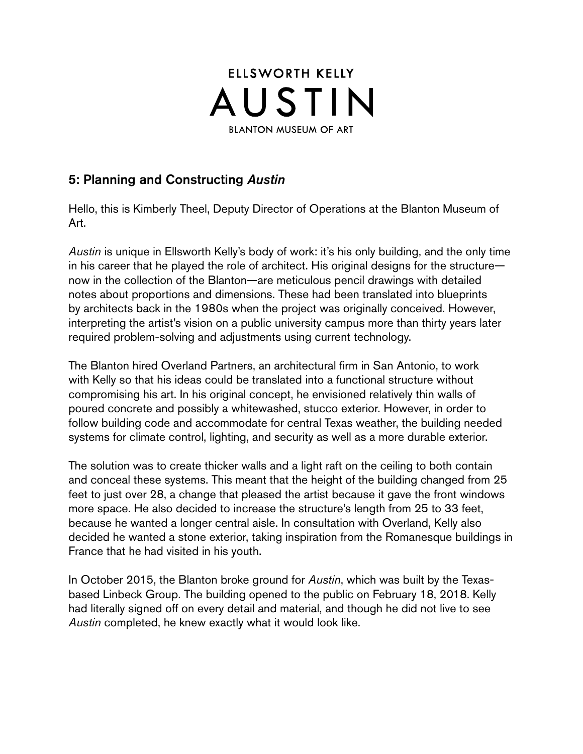

### 5: Planning and Constructing *Austin*

Hello, this is Kimberly Theel, Deputy Director of Operations at the Blanton Museum of Art.

*Austin* is unique in Ellsworth Kelly's body of work: it's his only building, and the only time in his career that he played the role of architect. His original designs for the structure now in the collection of the Blanton—are meticulous pencil drawings with detailed notes about proportions and dimensions. These had been translated into blueprints by architects back in the 1980s when the project was originally conceived. However, interpreting the artist's vision on a public university campus more than thirty years later required problem-solving and adjustments using current technology.

The Blanton hired Overland Partners, an architectural frm in San Antonio, to work with Kelly so that his ideas could be translated into a functional structure without compromising his art. In his original concept, he envisioned relatively thin walls of poured concrete and possibly a whitewashed, stucco exterior. However, in order to follow building code and accommodate for central Texas weather, the building needed systems for climate control, lighting, and security as well as a more durable exterior.

The solution was to create thicker walls and a light raft on the ceiling to both contain and conceal these systems. This meant that the height of the building changed from 25 feet to just over 28, a change that pleased the artist because it gave the front windows more space. He also decided to increase the structure's length from 25 to 33 feet, because he wanted a longer central aisle. In consultation with Overland, Kelly also decided he wanted a stone exterior, taking inspiration from the Romanesque buildings in France that he had visited in his youth.

In October 2015, the Blanton broke ground for *Austin*, which was built by the Texasbased Linbeck Group. The building opened to the public on February 18, 2018. Kelly had literally signed off on every detail and material, and though he did not live to see *Austin* completed, he knew exactly what it would look like.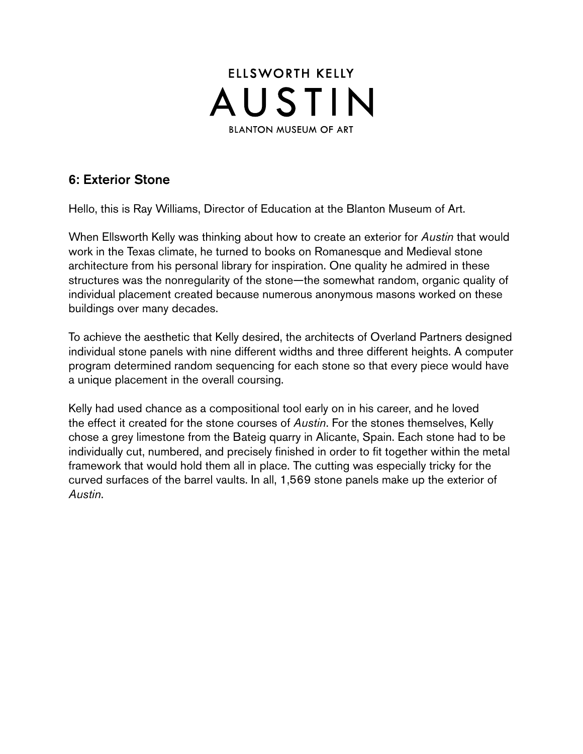

# 6: Exterior Stone

Hello, this is Ray Williams, Director of Education at the Blanton Museum of Art.

When Ellsworth Kelly was thinking about how to create an exterior for *Austin* that would work in the Texas climate, he turned to books on Romanesque and Medieval stone architecture from his personal library for inspiration. One quality he admired in these structures was the nonregularity of the stone—the somewhat random, organic quality of individual placement created because numerous anonymous masons worked on these buildings over many decades.

To achieve the aesthetic that Kelly desired, the architects of Overland Partners designed individual stone panels with nine different widths and three different heights. A computer program determined random sequencing for each stone so that every piece would have a unique placement in the overall coursing.

Kelly had used chance as a compositional tool early on in his career, and he loved the effect it created for the stone courses of *Austin*. For the stones themselves, Kelly chose a grey limestone from the Bateig quarry in Alicante, Spain. Each stone had to be individually cut, numbered, and precisely finished in order to fit together within the metal framework that would hold them all in place. The cutting was especially tricky for the curved surfaces of the barrel vaults. In all, 1,569 stone panels make up the exterior of *Austin*.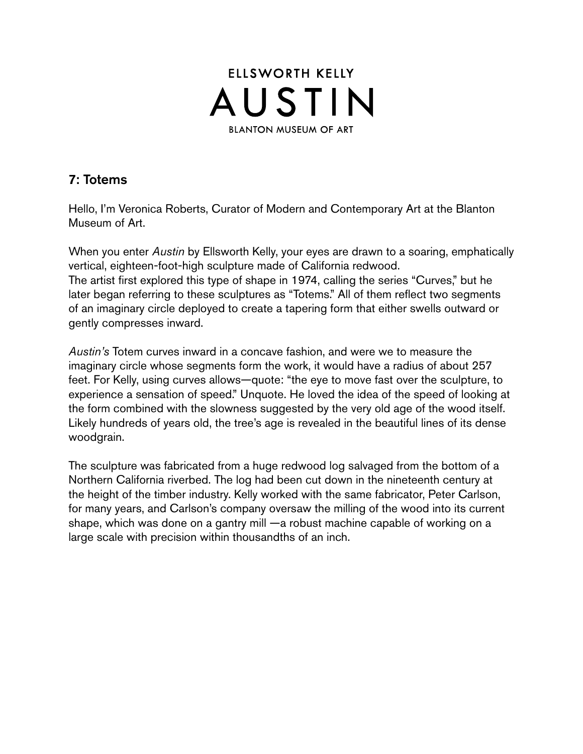

# 7: Totems

Hello, I'm Veronica Roberts, Curator of Modern and Contemporary Art at the Blanton Museum of Art.

When you enter *Austin* by Ellsworth Kelly, your eyes are drawn to a soaring, emphatically vertical, eighteen-foot-high sculpture made of California redwood. The artist first explored this type of shape in 1974, calling the series "Curves," but he later began referring to these sculptures as "Totems." All of them refect two segments of an imaginary circle deployed to create a tapering form that either swells outward or gently compresses inward.

*Austin's* Totem curves inward in a concave fashion, and were we to measure the imaginary circle whose segments form the work, it would have a radius of about 257 feet. For Kelly, using curves allows—quote: "the eye to move fast over the sculpture, to experience a sensation of speed." Unquote. He loved the idea of the speed of looking at the form combined with the slowness suggested by the very old age of the wood itself. Likely hundreds of years old, the tree's age is revealed in the beautiful lines of its dense woodgrain.

The sculpture was fabricated from a huge redwood log salvaged from the bottom of a Northern California riverbed. The log had been cut down in the nineteenth century at the height of the timber industry. Kelly worked with the same fabricator, Peter Carlson, for many years, and Carlson's company oversaw the milling of the wood into its current shape, which was done on a gantry mill —a robust machine capable of working on a large scale with precision within thousandths of an inch.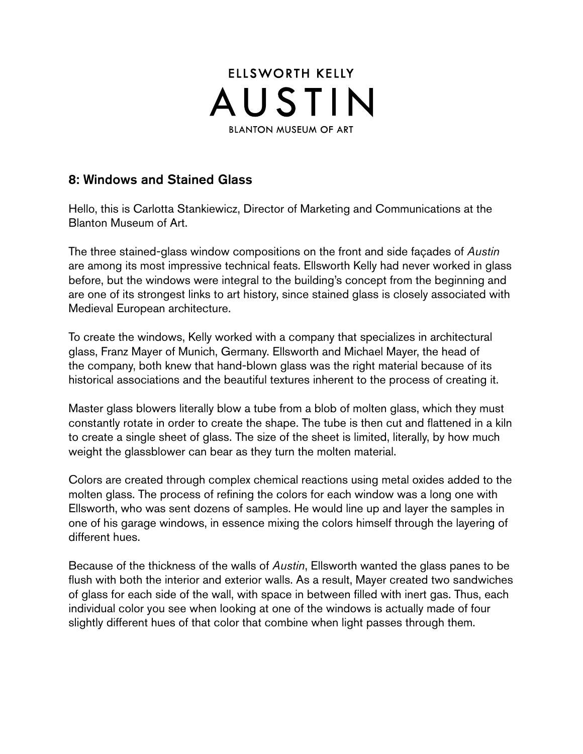

#### 8: Windows and Stained Glass

Hello, this is Carlotta Stankiewicz, Director of Marketing and Communications at the Blanton Museum of Art.

The three stained-glass window compositions on the front and side façades of *Austin*  are among its most impressive technical feats. Ellsworth Kelly had never worked in glass before, but the windows were integral to the building's concept from the beginning and are one of its strongest links to art history, since stained glass is closely associated with Medieval European architecture.

To create the windows, Kelly worked with a company that specializes in architectural glass, Franz Mayer of Munich, Germany. Ellsworth and Michael Mayer, the head of the company, both knew that hand-blown glass was the right material because of its historical associations and the beautiful textures inherent to the process of creating it.

Master glass blowers literally blow a tube from a blob of molten glass, which they must constantly rotate in order to create the shape. The tube is then cut and fattened in a kiln to create a single sheet of glass. The size of the sheet is limited, literally, by how much weight the glassblower can bear as they turn the molten material.

Colors are created through complex chemical reactions using metal oxides added to the molten glass. The process of refining the colors for each window was a long one with Ellsworth, who was sent dozens of samples. He would line up and layer the samples in one of his garage windows, in essence mixing the colors himself through the layering of different hues.

Because of the thickness of the walls of *Austin*, Ellsworth wanted the glass panes to be fush with both the interior and exterior walls. As a result, Mayer created two sandwiches of glass for each side of the wall, with space in between flled with inert gas. Thus, each individual color you see when looking at one of the windows is actually made of four slightly different hues of that color that combine when light passes through them.